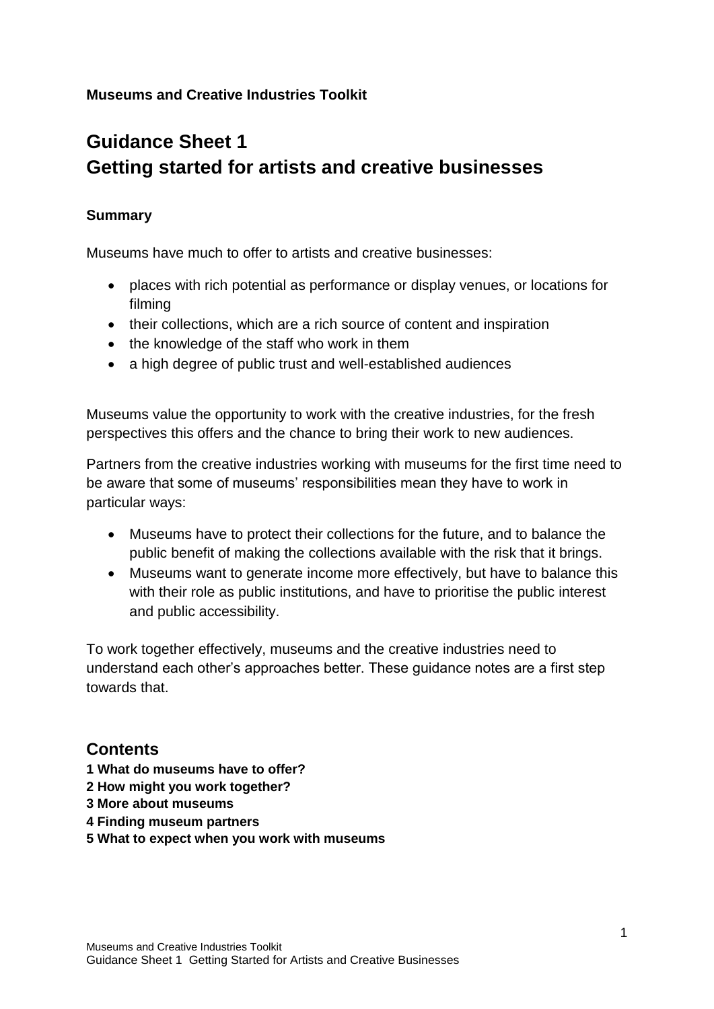#### **Museums and Creative Industries Toolkit**

# **Guidance Sheet 1 Getting started for artists and creative businesses**

#### **Summary**

Museums have much to offer to artists and creative businesses:

- places with rich potential as performance or display venues, or locations for filming
- their collections, which are a rich source of content and inspiration
- the knowledge of the staff who work in them
- a high degree of public trust and well-established audiences

Museums value the opportunity to work with the creative industries, for the fresh perspectives this offers and the chance to bring their work to new audiences.

Partners from the creative industries working with museums for the first time need to be aware that some of museums' responsibilities mean they have to work in particular ways:

- Museums have to protect their collections for the future, and to balance the public benefit of making the collections available with the risk that it brings.
- Museums want to generate income more effectively, but have to balance this with their role as public institutions, and have to prioritise the public interest and public accessibility.

To work together effectively, museums and the creative industries need to understand each other's approaches better. These guidance notes are a first step towards that.

## **Contents**

- **1 What do museums have to offer?**
- **2 How might you work together?**
- **3 More about museums**
- **4 Finding museum partners**
- **5 What to expect when you work with museums**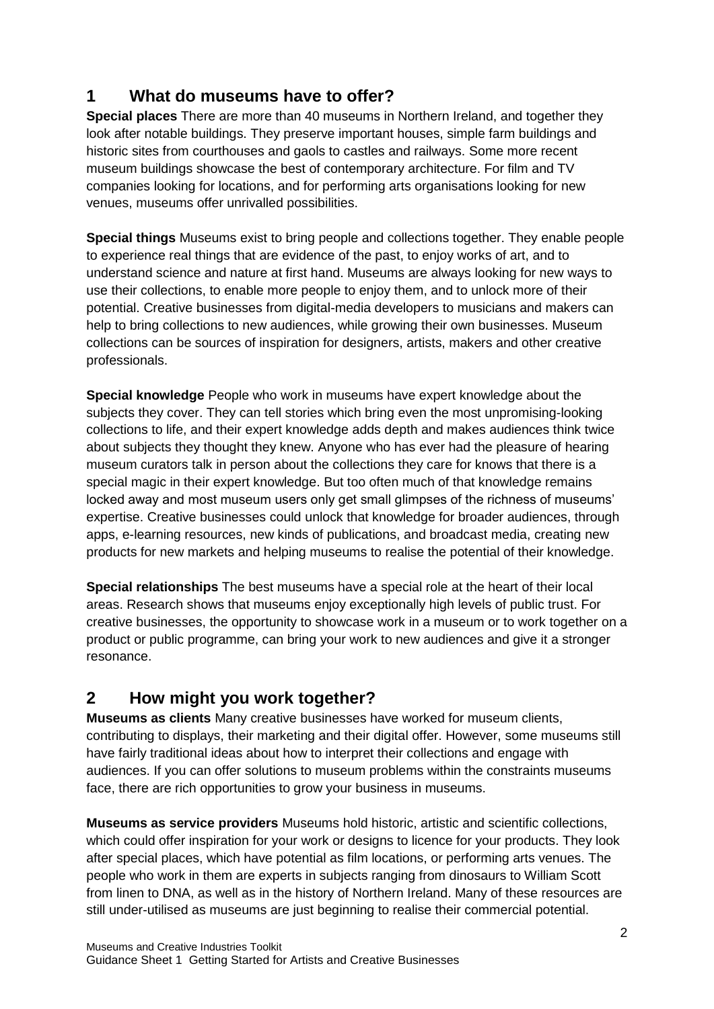## **1 What do museums have to offer?**

**Special places** There are more than 40 museums in Northern Ireland, and together they look after notable buildings. They preserve important houses, simple farm buildings and historic sites from courthouses and gaols to castles and railways. Some more recent museum buildings showcase the best of contemporary architecture. For film and TV companies looking for locations, and for performing arts organisations looking for new venues, museums offer unrivalled possibilities.

**Special things** Museums exist to bring people and collections together. They enable people to experience real things that are evidence of the past, to enjoy works of art, and to understand science and nature at first hand. Museums are always looking for new ways to use their collections, to enable more people to enjoy them, and to unlock more of their potential. Creative businesses from digital-media developers to musicians and makers can help to bring collections to new audiences, while growing their own businesses. Museum collections can be sources of inspiration for designers, artists, makers and other creative professionals.

**Special knowledge** People who work in museums have expert knowledge about the subjects they cover. They can tell stories which bring even the most unpromising-looking collections to life, and their expert knowledge adds depth and makes audiences think twice about subjects they thought they knew. Anyone who has ever had the pleasure of hearing museum curators talk in person about the collections they care for knows that there is a special magic in their expert knowledge. But too often much of that knowledge remains locked away and most museum users only get small glimpses of the richness of museums' expertise. Creative businesses could unlock that knowledge for broader audiences, through apps, e-learning resources, new kinds of publications, and broadcast media, creating new products for new markets and helping museums to realise the potential of their knowledge.

**Special relationships** The best museums have a special role at the heart of their local areas. Research shows that museums enjoy exceptionally high levels of public trust. For creative businesses, the opportunity to showcase work in a museum or to work together on a product or public programme, can bring your work to new audiences and give it a stronger resonance.

# **2 How might you work together?**

**Museums as clients** Many creative businesses have worked for museum clients, contributing to displays, their marketing and their digital offer. However, some museums still have fairly traditional ideas about how to interpret their collections and engage with audiences. If you can offer solutions to museum problems within the constraints museums face, there are rich opportunities to grow your business in museums.

**Museums as service providers** Museums hold historic, artistic and scientific collections, which could offer inspiration for your work or designs to licence for your products. They look after special places, which have potential as film locations, or performing arts venues. The people who work in them are experts in subjects ranging from dinosaurs to William Scott from linen to DNA, as well as in the history of Northern Ireland. Many of these resources are still under-utilised as museums are just beginning to realise their commercial potential.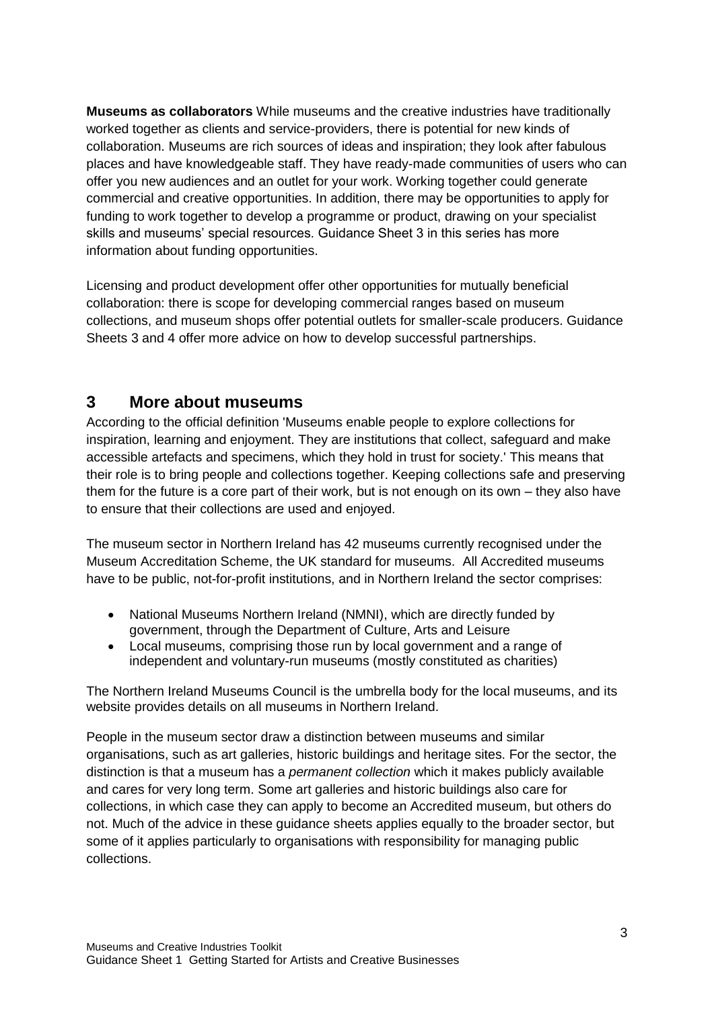**Museums as collaborators** While museums and the creative industries have traditionally worked together as clients and service-providers, there is potential for new kinds of collaboration. Museums are rich sources of ideas and inspiration; they look after fabulous places and have knowledgeable staff. They have ready-made communities of users who can offer you new audiences and an outlet for your work. Working together could generate commercial and creative opportunities. In addition, there may be opportunities to apply for funding to work together to develop a programme or product, drawing on your specialist skills and museums' special resources. Guidance Sheet 3 in this series has more information about funding opportunities.

Licensing and product development offer other opportunities for mutually beneficial collaboration: there is scope for developing commercial ranges based on museum collections, and museum shops offer potential outlets for smaller-scale producers. Guidance Sheets 3 and 4 offer more advice on how to develop successful partnerships.

#### **3 More about museums**

According to the official definition 'Museums enable people to explore collections for inspiration, learning and enjoyment. They are institutions that collect, safeguard and make accessible artefacts and specimens, which they hold in trust for society.' This means that their role is to bring people and collections together. Keeping collections safe and preserving them for the future is a core part of their work, but is not enough on its own – they also have to ensure that their collections are used and enjoyed.

The museum sector in Northern Ireland has 42 museums currently recognised under the Museum Accreditation Scheme, the UK standard for museums. All Accredited museums have to be public, not-for-profit institutions, and in Northern Ireland the sector comprises:

- National Museums Northern Ireland (NMNI), which are directly funded by government, through the Department of Culture, Arts and Leisure
- Local museums, comprising those run by local government and a range of independent and voluntary-run museums (mostly constituted as charities)

The Northern Ireland Museums Council is the umbrella body for the local museums, and its website provides details on all museums in Northern Ireland.

People in the museum sector draw a distinction between museums and similar organisations, such as art galleries, historic buildings and heritage sites. For the sector, the distinction is that a museum has a *permanent collection* which it makes publicly available and cares for very long term. Some art galleries and historic buildings also care for collections, in which case they can apply to become an Accredited museum, but others do not. Much of the advice in these guidance sheets applies equally to the broader sector, but some of it applies particularly to organisations with responsibility for managing public collections.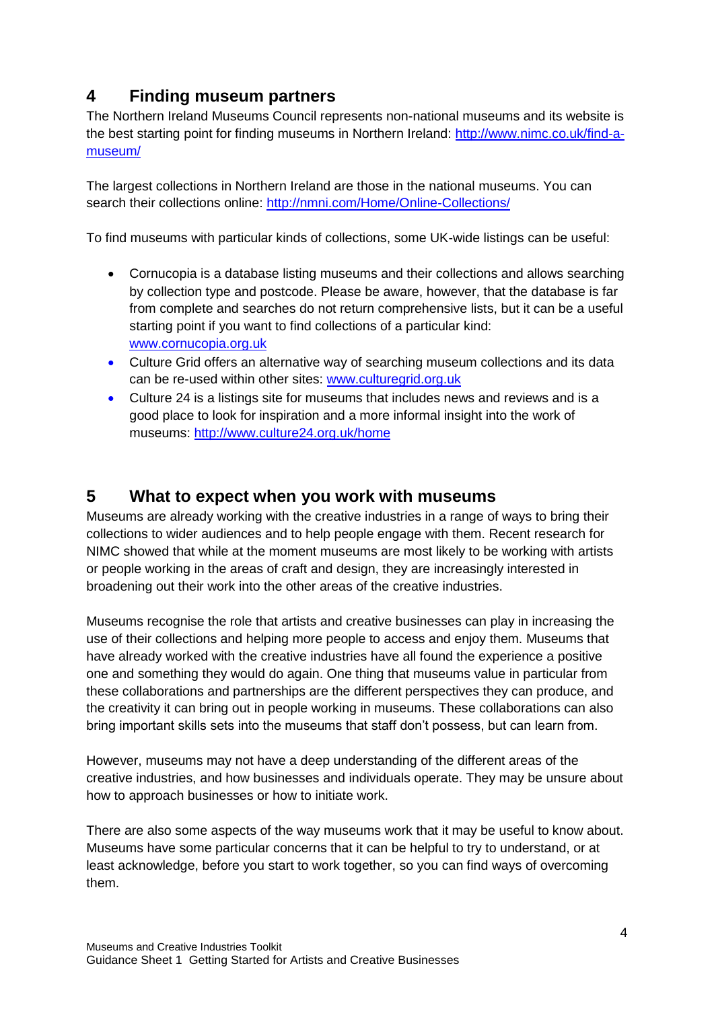## **4 Finding museum partners**

The Northern Ireland Museums Council represents non-national museums and its website is the best starting point for finding museums in Northern Ireland: [http://www.nimc.co.uk/find-a](http://www.nimc.co.uk/find-a-museum/)[museum/](http://www.nimc.co.uk/find-a-museum/)

The largest collections in Northern Ireland are those in the national museums. You can search their collections online:<http://nmni.com/Home/Online-Collections/>

To find museums with particular kinds of collections, some UK-wide listings can be useful:

- Cornucopia is a database listing museums and their collections and allows searching by collection type and postcode. Please be aware, however, that the database is far from complete and searches do not return comprehensive lists, but it can be a useful starting point if you want to find collections of a particular kind: [www.cornucopia.org.uk](http://www.cornucopia.org.uk/)
- Culture Grid offers an alternative way of searching museum collections and its data can be re-used within other sites: [www.culturegrid.org.uk](http://www.culturegrid.org.uk/)
- Culture 24 is a listings site for museums that includes news and reviews and is a good place to look for inspiration and a more informal insight into the work of museums:<http://www.culture24.org.uk/home>

### **5 What to expect when you work with museums**

Museums are already working with the creative industries in a range of ways to bring their collections to wider audiences and to help people engage with them. Recent research for NIMC showed that while at the moment museums are most likely to be working with artists or people working in the areas of craft and design, they are increasingly interested in broadening out their work into the other areas of the creative industries.

Museums recognise the role that artists and creative businesses can play in increasing the use of their collections and helping more people to access and enjoy them. Museums that have already worked with the creative industries have all found the experience a positive one and something they would do again. One thing that museums value in particular from these collaborations and partnerships are the different perspectives they can produce, and the creativity it can bring out in people working in museums. These collaborations can also bring important skills sets into the museums that staff don't possess, but can learn from.

However, museums may not have a deep understanding of the different areas of the creative industries, and how businesses and individuals operate. They may be unsure about how to approach businesses or how to initiate work.

There are also some aspects of the way museums work that it may be useful to know about. Museums have some particular concerns that it can be helpful to try to understand, or at least acknowledge, before you start to work together, so you can find ways of overcoming them.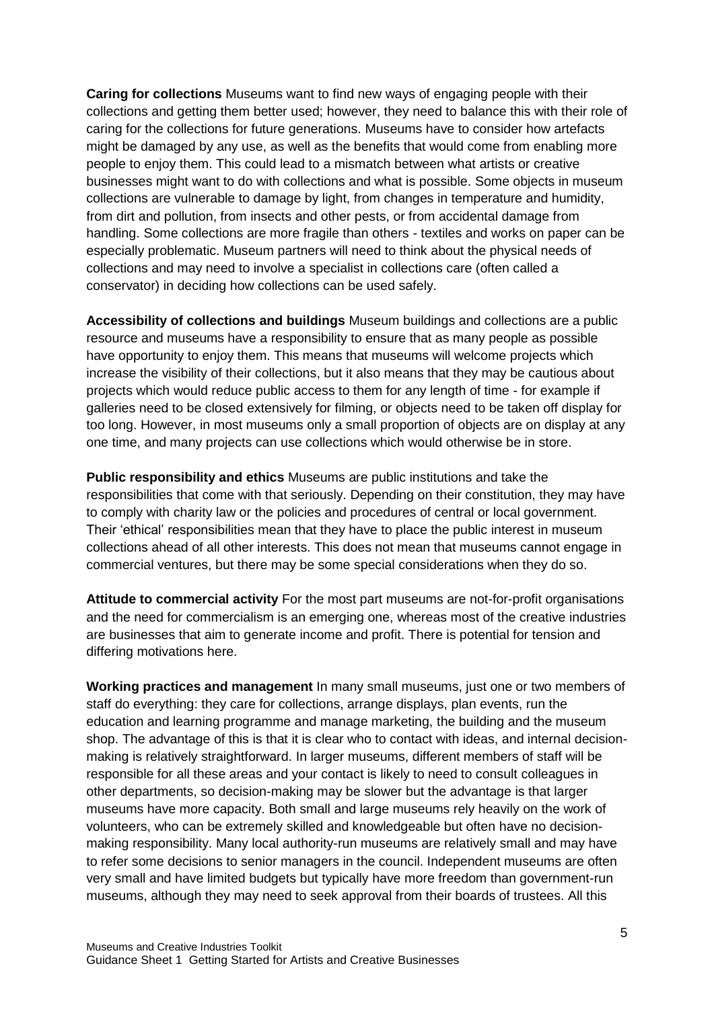**Caring for collections** Museums want to find new ways of engaging people with their collections and getting them better used; however, they need to balance this with their role of caring for the collections for future generations. Museums have to consider how artefacts might be damaged by any use, as well as the benefits that would come from enabling more people to enjoy them. This could lead to a mismatch between what artists or creative businesses might want to do with collections and what is possible. Some objects in museum collections are vulnerable to damage by light, from changes in temperature and humidity, from dirt and pollution, from insects and other pests, or from accidental damage from handling. Some collections are more fragile than others - textiles and works on paper can be especially problematic. Museum partners will need to think about the physical needs of collections and may need to involve a specialist in collections care (often called a conservator) in deciding how collections can be used safely.

**Accessibility of collections and buildings** Museum buildings and collections are a public resource and museums have a responsibility to ensure that as many people as possible have opportunity to enjoy them. This means that museums will welcome projects which increase the visibility of their collections, but it also means that they may be cautious about projects which would reduce public access to them for any length of time - for example if galleries need to be closed extensively for filming, or objects need to be taken off display for too long. However, in most museums only a small proportion of objects are on display at any one time, and many projects can use collections which would otherwise be in store.

**Public responsibility and ethics** Museums are public institutions and take the responsibilities that come with that seriously. Depending on their constitution, they may have to comply with charity law or the policies and procedures of central or local government. Their 'ethical' responsibilities mean that they have to place the public interest in museum collections ahead of all other interests. This does not mean that museums cannot engage in commercial ventures, but there may be some special considerations when they do so.

**Attitude to commercial activity** For the most part museums are not-for-profit organisations and the need for commercialism is an emerging one, whereas most of the creative industries are businesses that aim to generate income and profit. There is potential for tension and differing motivations here.

**Working practices and management** In many small museums, just one or two members of staff do everything: they care for collections, arrange displays, plan events, run the education and learning programme and manage marketing, the building and the museum shop. The advantage of this is that it is clear who to contact with ideas, and internal decisionmaking is relatively straightforward. In larger museums, different members of staff will be responsible for all these areas and your contact is likely to need to consult colleagues in other departments, so decision-making may be slower but the advantage is that larger museums have more capacity. Both small and large museums rely heavily on the work of volunteers, who can be extremely skilled and knowledgeable but often have no decisionmaking responsibility. Many local authority-run museums are relatively small and may have to refer some decisions to senior managers in the council. Independent museums are often very small and have limited budgets but typically have more freedom than government-run museums, although they may need to seek approval from their boards of trustees. All this